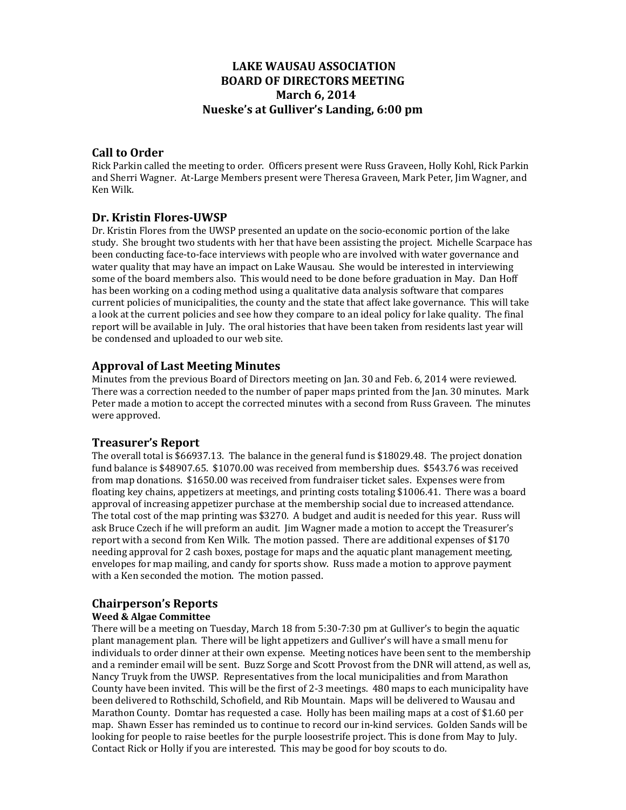# **LAKE WAUSAU ASSOCIATION BOARD OF DIRECTORS MEETING March 6, 2014 Nueske's at Gulliver's Landing, 6:00 pm**

### **Call to Order**

Rick Parkin called the meeting to order. Officers present were Russ Graveen, Holly Kohl, Rick Parkin and Sherri Wagner. At-Large Members present were Theresa Graveen, Mark Peter, Jim Wagner, and Ken Wilk. 

# **Dr. Kristin Flores‐UWSP**

Dr. Kristin Flores from the UWSP presented an update on the socio-economic portion of the lake study. She brought two students with her that have been assisting the project. Michelle Scarpace has been conducting face-to-face interviews with people who are involved with water governance and water quality that may have an impact on Lake Wausau. She would be interested in interviewing some of the board members also. This would need to be done before graduation in May. Dan Hoff has been working on a coding method using a qualitative data analysis software that compares current policies of municipalities, the county and the state that affect lake governance. This will take a look at the current policies and see how they compare to an ideal policy for lake quality. The final report will be available in July. The oral histories that have been taken from residents last year will be condensed and uploaded to our web site.

# **Approval of Last Meeting Minutes**

Minutes from the previous Board of Directors meeting on Jan. 30 and Feb. 6, 2014 were reviewed. There was a correction needed to the number of paper maps printed from the Jan. 30 minutes. Mark Peter made a motion to accept the corrected minutes with a second from Russ Graveen. The minutes were approved.

### **Treasurer's Report**

The overall total is  $$66937.13$ . The balance in the general fund is  $$18029.48$ . The project donation fund balance is \$48907.65. \$1070.00 was received from membership dues. \$543.76 was received from map donations. \$1650.00 was received from fundraiser ticket sales. Expenses were from floating key chains, appetizers at meetings, and printing costs totaling \$1006.41. There was a board approval of increasing appetizer purchase at the membership social due to increased attendance. The total cost of the map printing was \$3270. A budget and audit is needed for this year. Russ will ask Bruce Czech if he will preform an audit. I im Wagner made a motion to accept the Treasurer's report with a second from Ken Wilk. The motion passed. There are additional expenses of \$170 needing approval for 2 cash boxes, postage for maps and the aquatic plant management meeting, envelopes for map mailing, and candy for sports show. Russ made a motion to approve payment with a Ken seconded the motion. The motion passed.

# **Chairperson's Reports**

#### **Weed & Algae Committee**

There will be a meeting on Tuesday, March 18 from  $5:30-7:30$  pm at Gulliver's to begin the aquatic plant management plan. There will be light appetizers and Gulliver's will have a small menu for individuals to order dinner at their own expense. Meeting notices have been sent to the membership and a reminder email will be sent. Buzz Sorge and Scott Provost from the DNR will attend, as well as, Nancy Truyk from the UWSP. Representatives from the local municipalities and from Marathon County have been invited. This will be the first of 2-3 meetings.  $480$  maps to each municipality have been delivered to Rothschild, Schofield, and Rib Mountain. Maps will be delivered to Wausau and Marathon County. Domtar has requested a case. Holly has been mailing maps at a cost of \$1.60 per map. Shawn Esser has reminded us to continue to record our in-kind services. Golden Sands will be looking for people to raise beetles for the purple loosestrife project. This is done from May to July. Contact Rick or Holly if you are interested. This may be good for boy scouts to do.